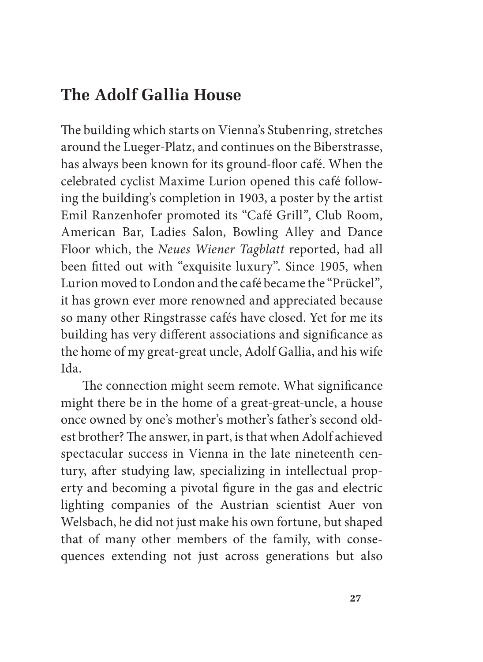## The Adolf Gallia House

The building which starts on Vienna's Stubenring, stretches around the Lueger-Platz, and continues on the Biberstrasse, has always been known for its ground-floor café. When the celebrated cyclist Maxime Lurion opened this café following the building's completion in 1903, a poster by the artist Emil Ranzenhofer promoted its "Café Grill", Club Room, American Bar, Ladies Salon, Bowling Alley and Dance Floor which, the Neues Wiener Tagblatt reported, had all been fitted out with "exquisite luxury". Since 1905, when Lurion moved to London and the café became the "Prückel", it has grown ever more renowned and appreciated because so many other Ringstrasse cafés have closed. Yet for me its building has very different associations and significance as the home of my great-great uncle, Adolf Gallia, and his wife Ida

The connection might seem remote. What significance might there be in the home of a great-great-uncle, a house once owned by one's mother's mother's father's second oldest brother? The answer, in part, is that when Adolf achieved spectacular success in Vienna in the late nineteenth century, after studying law, specializing in intellectual property and becoming a pivotal figure in the gas and electric lighting companies of the Austrian scientist Auer von Welsbach, he did not just make his own fortune, but shaped that of many other members of the family, with consequences extending not just across generations but also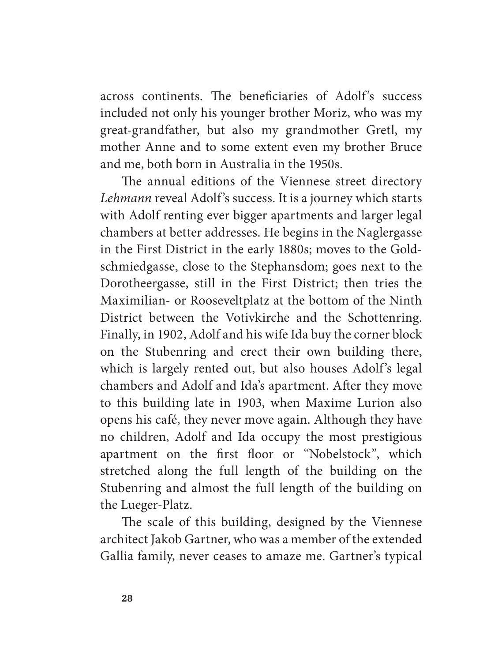across continents. The beneficiaries of Adolf's success included not only his younger brother Moriz, who was my great-grandfather, but also my grandmother Gretl, my mother Anne and to some extent even my brother Bruce and me, both born in Australia in the 1950s.

The annual editions of the Viennese street directory Lehmann reveal Adolf's success. It is a journey which starts with Adolf renting ever bigger apartments and larger legal chambers at better addresses. He begins in the Naglergasse in the First District in the early 1880s; moves to the Goldschmiedgasse, close to the Stephansdom; goes next to the Dorotheergasse, still in the First District; then tries the Maximilian- or Rooseveltplatz at the bottom of the Ninth District between the Votivkirche and the Schottenring. Finally, in 1902, Adolf and his wife Ida buy the corner block on the Stubenring and erect their own building there, which is largely rented out, but also houses Adolf's legal chambers and Adolf and Ida's apartment. After they move to this building late in 1903, when Maxime Lurion also opens his café, they never move again. Although they have no children, Adolf and Ida occupy the most prestigious apartment on the first floor or "Nobelstock", which stretched along the full length of the building on the Stubenring and almost the full length of the building on the Lueger-Platz.

The scale of this building, designed by the Viennese architect Jakob Gartner, who was a member of the extended Gallia family, never ceases to amaze me. Gartner's typical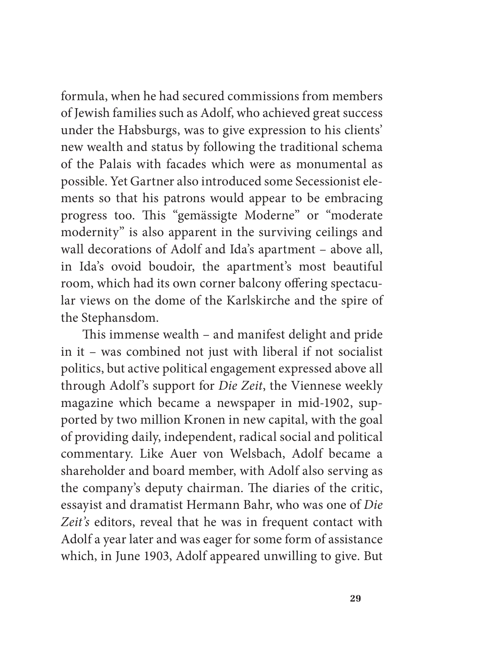formula, when he had secured commissions from members of Jewish families such as Adolf, who achieved great success under the Habsburgs, was to give expression to his clients' new wealth and status by following the traditional schema of the Palais with facades which were as monumental as possible. Yet Gartner also introduced some Secessionist elements so that his patrons would appear to be embracing progress too. This "gemässigte Moderne" or "moderate modernity" is also apparent in the surviving ceilings and wall decorations of Adolf and Ida's apartment - above all, in Ida's ovoid boudoir, the apartment's most beautiful room, which had its own corner balcony offering spectacular views on the dome of the Karlskirche and the spire of the Stephansdom.

This immense wealth – and manifest delight and pride in it - was combined not just with liberal if not socialist politics, but active political engagement expressed above all through Adolf's support for Die Zeit, the Viennese weekly magazine which became a newspaper in mid-1902, supported by two million Kronen in new capital, with the goal of providing daily, independent, radical social and political commentary. Like Auer von Welsbach, Adolf became a shareholder and board member, with Adolf also serving as the company's deputy chairman. The diaries of the critic, essayist and dramatist Hermann Bahr, who was one of Die Zeit's editors, reveal that he was in frequent contact with Adolf a year later and was eager for some form of assistance which, in June 1903, Adolf appeared unwilling to give. But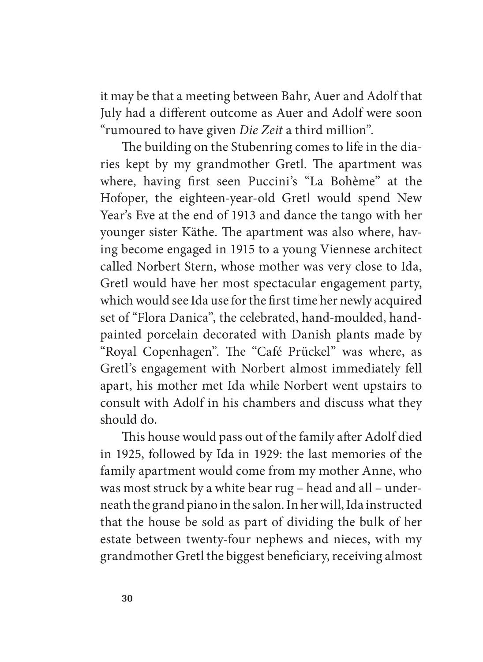it may be that a meeting between Bahr, Auer and Adolf that July had a different outcome as Auer and Adolf were soon "rumoured to have given Die Zeit a third million".

The building on the Stubenring comes to life in the diaries kept by my grandmother Gretl. The apartment was where, having first seen Puccini's "La Bohème" at the Hofoper, the eighteen-year-old Gretl would spend New Year's Eve at the end of 1913 and dance the tango with her younger sister Käthe. The apartment was also where, having become engaged in 1915 to a young Viennese architect called Norbert Stern, whose mother was very close to Ida, Gretl would have her most spectacular engagement party, which would see Ida use for the first time her newly acquired set of "Flora Danica", the celebrated, hand-moulded, handpainted porcelain decorated with Danish plants made by "Royal Copenhagen". The "Café Prückel" was where, as Gretl's engagement with Norbert almost immediately fell apart, his mother met Ida while Norbert went upstairs to consult with Adolf in his chambers and discuss what they should do

This house would pass out of the family after Adolf died in 1925, followed by Ida in 1929: the last memories of the family apartment would come from my mother Anne, who was most struck by a white bear rug - head and all - underneath the grand piano in the salon. In her will, Ida instructed that the house be sold as part of dividing the bulk of her estate between twenty-four nephews and nieces, with my grandmother Gretl the biggest beneficiary, receiving almost